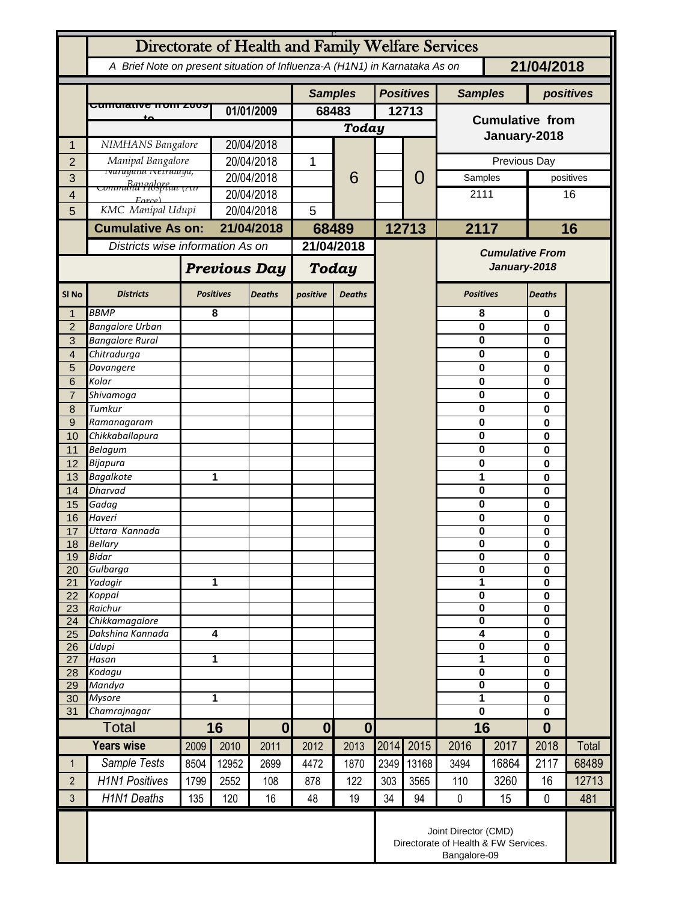| Directorate of Health and Family Welfare Services |                                                                              |                     |                  |                  |                |                  |                  |       |                                        |       |                                        |              |  |
|---------------------------------------------------|------------------------------------------------------------------------------|---------------------|------------------|------------------|----------------|------------------|------------------|-------|----------------------------------------|-------|----------------------------------------|--------------|--|
|                                                   | A Brief Note on present situation of Influenza-A (H1N1) in Karnataka As on   |                     |                  |                  |                |                  |                  |       |                                        |       | 21/04/2018                             |              |  |
|                                                   |                                                                              |                     |                  |                  | <b>Samples</b> |                  | <b>Positives</b> |       | <b>Samples</b>                         |       |                                        | positives    |  |
|                                                   | <del>Cumulative Hom Z009</del>                                               |                     | 01/01/2009       |                  | 68483          |                  |                  | 12713 |                                        |       |                                        |              |  |
|                                                   |                                                                              |                     |                  |                  | Today          |                  |                  |       | <b>Cumulative from</b>                 |       |                                        |              |  |
| 1                                                 | NIMHANS Bangalore                                                            |                     | 20/04/2018       |                  |                |                  |                  |       | January-2018                           |       |                                        |              |  |
| $\overline{2}$                                    | Manipal Bangalore                                                            |                     | 20/04/2018       |                  | 1              |                  |                  | 0     | Previous Day                           |       |                                        |              |  |
| 3                                                 | <u>ivarayana iverrataya,</u>                                                 |                     | 20/04/2018       |                  |                | 6                |                  |       | Samples                                |       |                                        | positives    |  |
| 4                                                 | <del>communil Pibspitut (גוו</del>                                           |                     | 20/04/2018       |                  |                |                  |                  |       | 2111                                   |       | 16                                     |              |  |
| 5                                                 | Error<br>KMC Manipal Udupi                                                   |                     | 20/04/2018       |                  | 5              |                  |                  |       |                                        |       |                                        |              |  |
|                                                   | <b>Cumulative As on:</b>                                                     |                     | 21/04/2018       |                  | 68489          |                  |                  | 12713 |                                        | 2117  |                                        | 16           |  |
|                                                   | Districts wise information As on                                             |                     |                  |                  | 21/04/2018     |                  |                  |       |                                        |       |                                        |              |  |
|                                                   |                                                                              |                     |                  |                  |                |                  |                  |       | <b>Cumulative From</b><br>January-2018 |       |                                        |              |  |
|                                                   |                                                                              | <b>Previous Day</b> |                  |                  | Today          |                  |                  |       |                                        |       |                                        |              |  |
| SI <sub>No</sub>                                  | <b>Districts</b>                                                             |                     | <b>Positives</b> | <b>Deaths</b>    | positive       | <b>Deaths</b>    |                  |       | <b>Positives</b>                       |       | Deaths                                 |              |  |
| 1                                                 | <b>BBMP</b>                                                                  |                     | 8                |                  |                |                  |                  |       | 8                                      |       | 0                                      |              |  |
| $\overline{2}$<br>3                               | <b>Bangalore Urban</b><br><b>Bangalore Rural</b>                             |                     |                  |                  |                |                  |                  |       | 0<br>0                                 |       | 0<br>0                                 |              |  |
| $\overline{4}$                                    | Chitradurga                                                                  |                     |                  |                  |                |                  |                  |       | 0                                      |       | 0                                      |              |  |
| 5                                                 | Davangere                                                                    |                     |                  |                  |                |                  |                  |       | 0                                      |       | 0                                      |              |  |
| 6                                                 | Kolar                                                                        |                     |                  |                  |                |                  |                  |       | 0                                      |       | 0                                      |              |  |
| $\overline{7}$                                    | Shivamoga<br>Tumkur                                                          |                     |                  |                  |                |                  |                  |       | 0                                      |       | 0                                      |              |  |
| 8<br>$9$                                          | Ramanagaram                                                                  |                     |                  |                  |                |                  |                  |       | 0<br>0                                 |       | 0<br>0                                 |              |  |
| 10                                                | Chikkaballapura                                                              |                     |                  |                  |                |                  |                  |       | 0                                      |       | 0                                      |              |  |
| 11                                                | <b>Belagum</b>                                                               |                     |                  |                  |                |                  |                  |       | 0                                      |       | 0                                      |              |  |
| $\overline{12}$                                   | Bijapura                                                                     |                     |                  |                  |                |                  |                  |       | 0                                      |       | 0                                      |              |  |
| 13                                                | <b>Bagalkote</b><br><b>Dharvad</b>                                           |                     | 1                |                  |                |                  |                  |       | 1<br>0                                 |       | 0<br>0                                 |              |  |
| 14<br>15                                          | Gadag                                                                        |                     |                  |                  |                |                  |                  |       | 0                                      |       | 0                                      |              |  |
| 16                                                | Haveri                                                                       |                     |                  |                  |                |                  |                  |       | 0                                      |       | 0                                      |              |  |
| 17                                                | Uttara Kannada                                                               |                     |                  |                  |                |                  |                  |       | 0                                      |       | 0                                      |              |  |
| 18                                                | <b>Bellary</b><br><b>Bidar</b>                                               |                     |                  |                  |                |                  |                  |       | 0<br>$\bf{0}$                          |       | $\mathbf 0$<br>$\overline{\mathbf{0}}$ |              |  |
| 19<br>20                                          | Gulbarga                                                                     |                     |                  |                  |                |                  |                  |       |                                        | 0     |                                        |              |  |
| $\overline{21}$                                   | Yadagir                                                                      |                     | 1                |                  |                |                  |                  |       | 1                                      |       | 0<br>$\mathbf 0$                       |              |  |
| 22                                                | Koppal                                                                       |                     |                  |                  |                |                  |                  |       | $\overline{\mathbf{0}}$                |       | $\bf{0}$                               |              |  |
| 23<br>24                                          | Raichur<br>Chikkamagalore                                                    |                     |                  |                  |                |                  |                  |       | $\overline{\mathbf{0}}$<br>0           |       | $\overline{\mathbf{0}}$<br>$\pmb{0}$   |              |  |
| 25                                                | Dakshina Kannada                                                             | 4                   |                  |                  |                |                  |                  |       | 4                                      |       | $\bf{0}$                               |              |  |
| 26                                                | Udupi                                                                        |                     |                  |                  |                |                  |                  |       | $\overline{\mathbf{0}}$                |       | $\mathbf 0$                            |              |  |
| 27<br>28                                          | Hasan<br>Kodagu                                                              | 1                   |                  |                  |                |                  |                  |       | 1<br>0                                 |       | $\mathbf 0$<br>$\bf{0}$                |              |  |
| 29                                                | Mandya                                                                       |                     |                  |                  |                |                  |                  |       | 0                                      |       | 0                                      |              |  |
| 30                                                | <b>Mysore</b>                                                                | 1                   |                  |                  |                |                  |                  |       | $\overline{\mathbf{1}}$                |       | $\overline{\mathbf{0}}$                |              |  |
| 31                                                | Chamrajnagar                                                                 |                     |                  |                  |                |                  |                  |       | $\mathbf 0$                            |       | $\mathbf 0$                            |              |  |
|                                                   | <b>Total</b>                                                                 |                     | 16               | $\boldsymbol{0}$ | $\mathbf{0}$   | $\boldsymbol{0}$ |                  |       | 16                                     |       | $\bf{0}$                               |              |  |
|                                                   | <b>Years wise</b>                                                            | 2009                | 2010             | 2011             | 2012           | 2013             | 2014             | 2015  | 2016                                   | 2017  | 2018                                   | <b>Total</b> |  |
| $\mathbf{1}$                                      | Sample Tests                                                                 | 8504                | 12952            | 2699             | 4472           | 1870             | 2349             | 13168 | 3494                                   | 16864 | 2117                                   | 68489        |  |
| $\overline{2}$                                    | <b>H1N1 Positives</b>                                                        | 1799                | 2552             | 108              | 878            | 122              | 303              | 3565  | 110                                    | 3260  | 16                                     | 12713        |  |
| 3                                                 | <b>H1N1 Deaths</b>                                                           | 135                 | 120              | 16               | 48             | 19               | 34               | 94    | $\pmb{0}$                              | 15    | $\mathbf 0$                            | 481          |  |
|                                                   | Joint Director (CMD)<br>Directorate of Health & FW Services.<br>Bangalore-09 |                     |                  |                  |                |                  |                  |       |                                        |       |                                        |              |  |